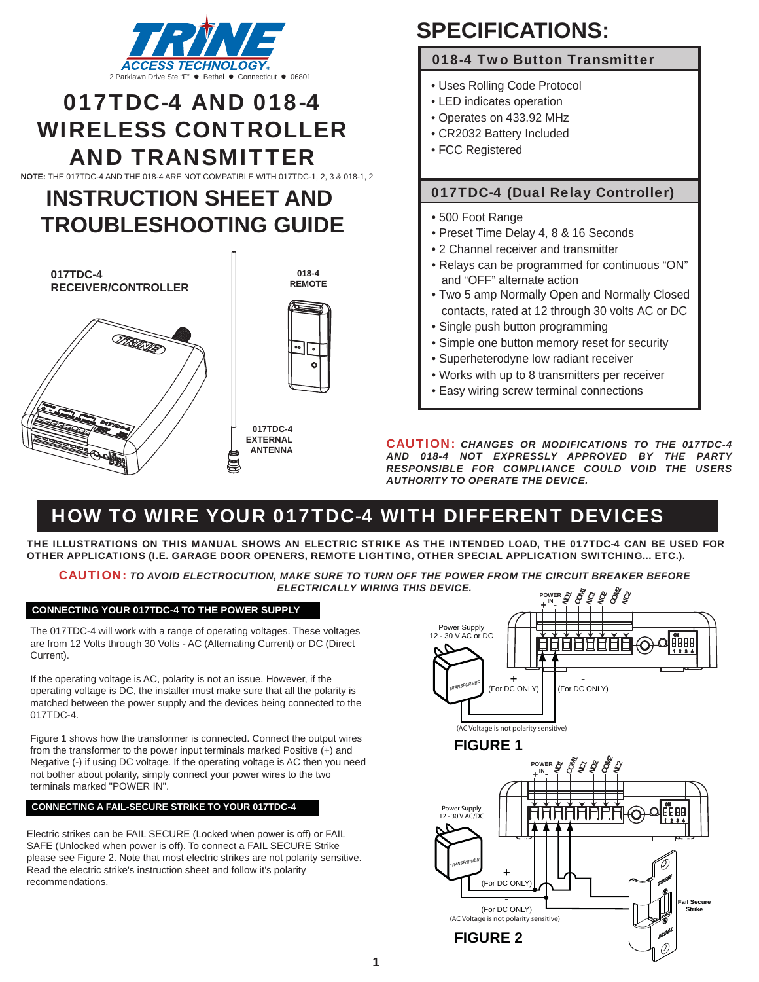

# 017TDC-4 AND 018-4 WIRELESS CONTROLLER AND TRANSMITTER

**NOTE:** THE 017TDC-4 AND THE 018-4 ARE NOT COMPATIBLE WITH 017TDC-1, 2, 3 & 018-1, 2

## **INSTRUCTION SHEET AND TROUBLESHOOTING GUIDE**







**017TDC-4 EXTERNAL ANTENNA**

# **SPECIFICATIONS:**

## 018-4 Two Button Transmitter

- Uses Rolling Code Protocol
- LED indicates operation
- Operates on 433.92 MHz
- CR2032 Battery Included
- FCC Registered

## 017TDC-4 (Dual Relay Controller)

- 500 Foot Range
- Preset Time Delay 4, 8 & 16 Seconds
- 2 Channel receiver and transmitter
- Relays can be programmed for continuous "ON" and "OFF" alternate action
- Two 5 amp Normally Open and Normally Closed contacts, rated at 12 through 30 volts AC or DC
- Single push button programming
- Simple one button memory reset for security
- Superheterodyne low radiant receiver
- Works with up to 8 transmitters per receiver
- Easy wiring screw terminal connections

CAUTION: *CHANGES OR MODIFICATIONS TO THE 017TDC-4 AND 018-4 NOT EXPRESSLY APPROVED BY THE PARTY RESPONSIBLE FOR COMPLIANCE COULD VOID THE USERS AUTHORITY TO OPERATE THE DEVICE.*

## HOW TO WIRE YOUR 017TDC-4 WITH DIFFERENT DEVICES

THE ILLUSTRATIONS ON THIS MANUAL SHOWS AN ELECTRIC STRIKE AS THE INTENDED LOAD, THE 017TDC-4 CAN BE USED FOR OTHER APPLICATIONS (I.E. GARAGE DOOR OPENERS, REMOTE LIGHTING, OTHER SPECIAL APPLICATION SWITCHING... ETC.).

CAUTION: *TO AVOID ELECTROCUTION, MAKE SURE TO TURN OFF THE POWER FROM THE CIRCUIT BREAKER BEFORE ELECTRICALLY WIRING THIS DEVICE.*

## **CONNECTING YOUR 017TDC-4 TO THE POWER SUPPLY**

The 017TDC-4 will work with a range of operating voltages. These voltages are from 12 Volts through 30 Volts - AC (Alternating Current) or DC (Direct Current).

If the operating voltage is AC, polarity is not an issue. However, if the operating voltage is DC, the installer must make sure that all the polarity is matched between the power supply and the devices being connected to the 017TDC-4.

Figure 1 shows how the transformer is connected. Connect the output wires from the transformer to the power input terminals marked Positive (+) and Negative (-) if using DC voltage. If the operating voltage is AC then you need not bother about polarity, simply connect your power wires to the two terminals marked "POWER IN".

### **CONNECTING A FAIL-SECURE STRIKE TO YOUR 017TDC-4**

Electric strikes can be FAIL SECURE (Locked when power is off) or FAIL SAFE (Unlocked when power is off). To connect a FAIL SECURE Strike please see Figure 2. Note that most electric strikes are not polarity sensitive. Read the electric strike's instruction sheet and follow it's polarity recommendations.

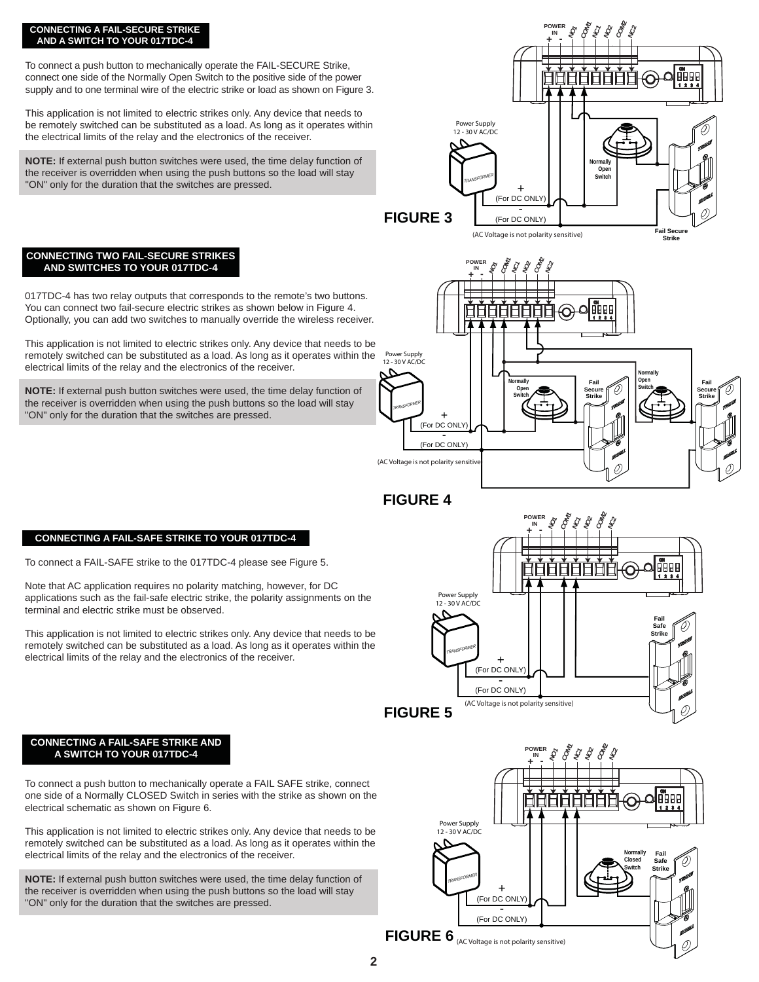#### **CONNECTING A FAIL-SECURE STRIKE AND A SWITCH TO YOUR 017TDC-4**

To connect a push button to mechanically operate the FAIL-SECURE Strike, connect one side of the Normally Open Switch to the positive side of the power supply and to one terminal wire of the electric strike or load as shown on Figure 3.

This application is not limited to electric strikes only. Any device that needs to be remotely switched can be substituted as a load. As long as it operates within the electrical limits of the relay and the electronics of the receiver.

**NOTE:** If external push button switches were used, the time delay function of the receiver is overridden when using the push buttons so the load will stay "ON" only for the duration that the switches are pressed.



**POWER IN**

### **CONNECTING TWO FAIL-SECURE STRIKES AND SWITCHES TO YOUR 017TDC-4**

017TDC-4 has two relay outputs that corresponds to the remote's two buttons. You can connect two fail-secure electric strikes as shown below in Figure 4. Optionally, you can add two switches to manually override the wireless receiver.

This application is not limited to electric strikes only. Any device that needs to be remotely switched can be substituted as a load. As long as it operates within the electrical limits of the relay and the electronics of the receiver.

**NOTE:** If external push button switches were used, the time delay function of the receiver is overridden when using the push buttons so the load will stay "ON" only for the duration that the switches are pressed.



**FIGURE 4**

## **CONNECTING A FAIL-SAFE STRIKE TO YOUR 017TDC-4**

To connect a FAIL-SAFE strike to the 017TDC-4 please see Figure 5.

Note that AC application requires no polarity matching, however, for DC applications such as the fail-safe electric strike, the polarity assignments on the terminal and electric strike must be observed.

This application is not limited to electric strikes only. Any device that needs to be remotely switched can be substituted as a load. As long as it operates within the electrical limits of the relay and the electronics of the receiver.



#### **CONNECTING A FAIL-SAFE STRIKE AND A SWITCH TO YOUR 017TDC-4**

To connect a push button to mechanically operate a FAIL SAFE strike, connect one side of a Normally CLOSED Switch in series with the strike as shown on the electrical schematic as shown on Figure 6.

This application is not limited to electric strikes only. Any device that needs to be remotely switched can be substituted as a load. As long as it operates within the electrical limits of the relay and the electronics of the receiver.

**NOTE:** If external push button switches were used, the time delay function of the receiver is overridden when using the push buttons so the load will stay "ON" only for the duration that the switches are pressed.

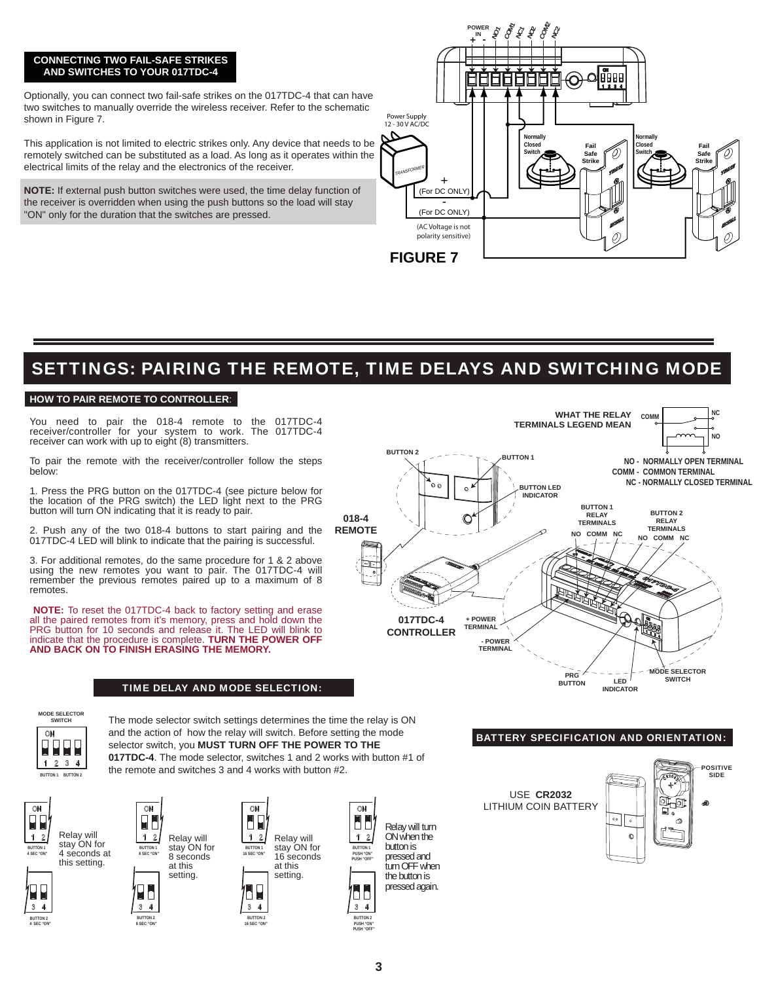## **CONNECTING TWO FAIL-SAFE STRIKES AND SWITCHES TO YOUR 017TDC-4**

Optionally, you can connect two fail-safe strikes on the 017TDC-4 that can have two switches to manually override the wireless receiver. Refer to the schematic shown in Figure 7.

This application is not limited to electric strikes only. Any device that needs to be remotely switched can be substituted as a load. As long as it operates within the electrical limits of the relay and the electronics of the receiver.

**NOTE:** If external push button switches were used, the time delay function of the receiver is overridden when using the push buttons so the load will stay "ON" only for the duration that the switches are pressed.



## SETTINGS: PAIRING THE REMOTE, TIME DELAYS AND SWITCHING MODE

### **HOW TO PAIR REMOTE TO CONTROLLER**:

You need to pair the 018-4 remote to the 017TDC-4 receiver/controller for your system to work. The 017TDC-4 receiver can work with up to eight (8) transmitters.

To pair the remote with the receiver/controller follow the steps below:

1. Press the PRG button on the 017TDC-4 (see picture below for the location of the PRG switch) the LED light next to the PRG button will turn ON indicating that it is ready to pair.

2. Push any of the two 018-4 buttons to start pairing and the 017TDC-4 LED will blink to indicate that the pairing is successful.

3. For additional remotes, do the same procedure for 1 & 2 above using the new remotes you want to pair. The 017TDC-4 will remember the previous remotes paired up to a maximum of 8 remotes.

 **NOTE:** To reset the 017TDC-4 back to factory setting and erase all the paired remotes from it's memory, press and hold down the PRG button for 10 seconds and release it. The LED will blink to indicate that the procedure is complete. **TURN THE POWER OFF AND BACK ON TO FINISH ERASING THE MEMORY.** 

### TIME DELAY AND MODE SELECTION:



#### **MODE SELECTOR** ON **PPP** ΩR  $2 \quad 3 \quad 4$

**BUTTON 1 BUTTON 2**

The mode selector switch settings determines the time the relay is ON and the action of how the relay will switch. Before setting the mode selector switch, you **MUST TURN OFF THE POWER TO THE 017TDC-4**. The mode selector, switches 1 and 2 works with button #1 of the remote and switches 3 and 4 works with button #2.

ON

 $\overline{\mathbf{3}}$ 



1





 **4 SEC "ON" BUTTON 2**



**BUTTON 2**

¥b



**8 SEC "ON" 16 SEC "ON"**

H  $1\quad2$ Relay will stay ON for **BUTTON 1** 16 seconds **16 SEC "ON"** at this setting. H

**BUTTON 2 BUTTON 2**

Relay will turn ON when the button is pressed and turn OFF when the button is pressed again.

#### BATTERY SPECIFICATION AND ORIENTATION:



**BUTTON 1 PUSH "ON" PUSH "OFF"**

68

 $\overline{\mathbf{3}}$ 

ON

H

 $\overline{2}$ 

**PUSH "ON" PUSH "OFF"**